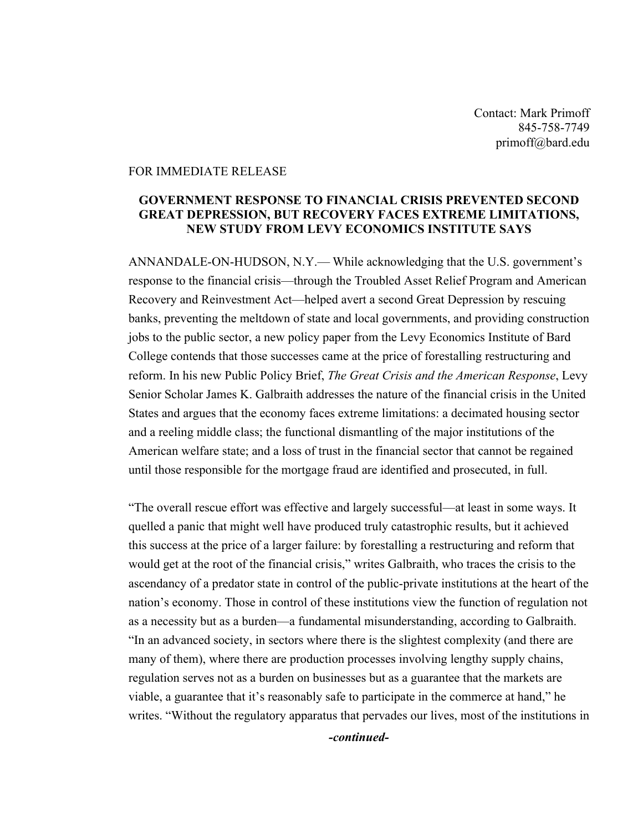Contact: Mark Primoff 845-758-7749 primoff@bard.edu

## FOR IMMEDIATE RELEASE

## **GOVERNMENT RESPONSE TO FINANCIAL CRISIS PREVENTED SECOND GREAT DEPRESSION, BUT RECOVERY FACES EXTREME LIMITATIONS, NEW STUDY FROM LEVY ECONOMICS INSTITUTE SAYS**

ANNANDALE-ON-HUDSON, N.Y.— While acknowledging that the U.S. government's response to the financial crisis—through the Troubled Asset Relief Program and American Recovery and Reinvestment Act—helped avert a second Great Depression by rescuing banks, preventing the meltdown of state and local governments, and providing construction jobs to the public sector, a new policy paper from the Levy Economics Institute of Bard College contends that those successes came at the price of forestalling restructuring and reform. In his new Public Policy Brief, *The Great Crisis and the American Response*, Levy Senior Scholar James K. Galbraith addresses the nature of the financial crisis in the United States and argues that the economy faces extreme limitations: a decimated housing sector and a reeling middle class; the functional dismantling of the major institutions of the American welfare state; and a loss of trust in the financial sector that cannot be regained until those responsible for the mortgage fraud are identified and prosecuted, in full.

"The overall rescue effort was effective and largely successful—at least in some ways. It quelled a panic that might well have produced truly catastrophic results, but it achieved this success at the price of a larger failure: by forestalling a restructuring and reform that would get at the root of the financial crisis," writes Galbraith, who traces the crisis to the ascendancy of a predator state in control of the public-private institutions at the heart of the nation's economy. Those in control of these institutions view the function of regulation not as a necessity but as a burden—a fundamental misunderstanding, according to Galbraith. "In an advanced society, in sectors where there is the slightest complexity (and there are many of them), where there are production processes involving lengthy supply chains, regulation serves not as a burden on businesses but as a guarantee that the markets are viable, a guarantee that it's reasonably safe to participate in the commerce at hand," he writes. "Without the regulatory apparatus that pervades our lives, most of the institutions in

*-continued-*